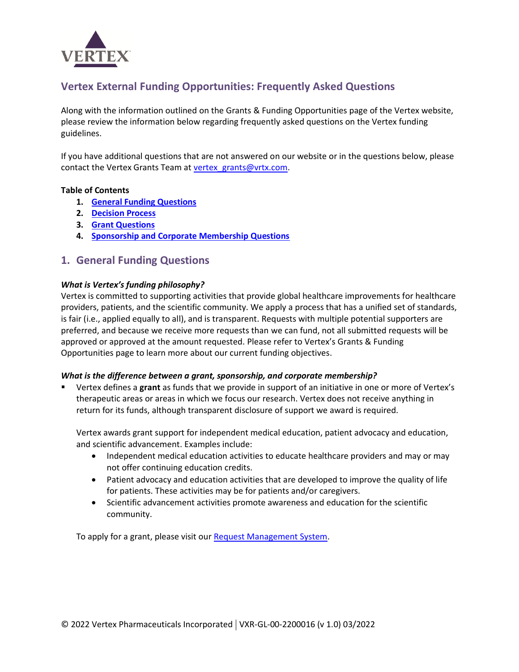

# **Vertex External Funding Opportunities: Frequently Asked Questions**

Along with the information outlined on the Grants & Funding Opportunities page of the Vertex website, please review the information below regarding frequently asked questions on the Vertex funding guidelines.

If you have additional questions that are not answered on our website or in the questions below, please contact the Vertex Grants Team at [vertex\\_grants@vrtx.com.](mailto:vertex_grants@vrtx.com)

#### **Table of Contents**

- **1. [General Funding Questions](#page-0-0)**
- **2. [Decision Process](#page-3-0)**
- **3. [Grant Questions](#page-4-0)**
- **4. [Sponsorship and Corporate Membership Questions](#page-6-0)**

# <span id="page-0-0"></span>**1. General Funding Questions**

#### *What is Vertex's funding philosophy?*

Vertex is committed to supporting activities that provide global healthcare improvements for healthcare providers, patients, and the scientific community. We apply a process that has a unified set of standards, is fair (i.e., applied equally to all), and is transparent. Requests with multiple potential supporters are preferred, and because we receive more requests than we can fund, not all submitted requests will be approved or approved at the amount requested. Please refer to Vertex's Grants & Funding Opportunities page to learn more about our current funding objectives.

#### *What is the difference between a grant, sponsorship, and corporate membership?*

▪ Vertex defines a **grant** as funds that we provide in support of an initiative in one or more of Vertex's therapeutic areas or areas in which we focus our research. Vertex does not receive anything in return for its funds, although transparent disclosure of support we award is required.

Vertex awards grant support for independent medical education, patient advocacy and education, and scientific advancement. Examples include:

- Independent medical education activities to educate healthcare providers and may or may not offer continuing education credits.
- Patient advocacy and education activities that are developed to improve the quality of life for patients. These activities may be for patients and/or caregivers.
- Scientific advancement activities promote awareness and education for the scientific community.

To apply for a grant, please visit our [Request Management System.](https://www.cybergrants.com/vertexpharmaceuticals/quiz)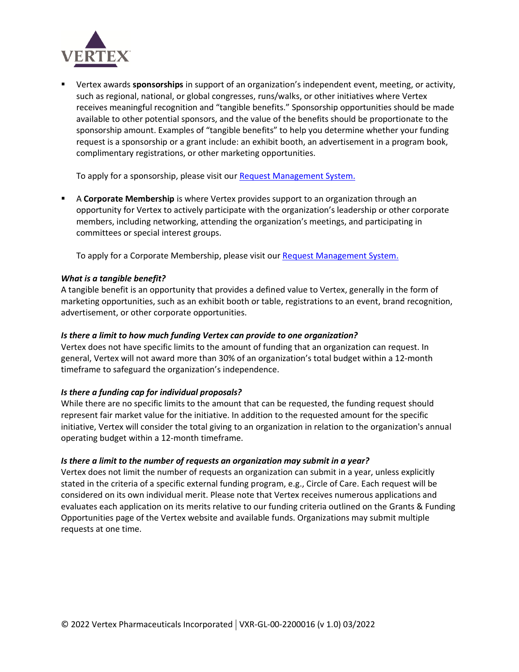

■ Vertex awards **sponsorships** in support of an organization's independent event, meeting, or activity, such as regional, national, or global congresses, runs/walks, or other initiatives where Vertex receives meaningful recognition and "tangible benefits." Sponsorship opportunities should be made available to other potential sponsors, and the value of the benefits should be proportionate to the sponsorship amount. Examples of "tangible benefits" to help you determine whether your funding request is a sponsorship or a grant include: an exhibit booth, an advertisement in a program book, complimentary registrations, or other marketing opportunities.

To apply for a sponsorship, please visit ou[r Request Management System.](https://www.cybergrants.com/vertexpharmaceuticals/quiz)

▪ A **Corporate Membership** is where Vertex provides support to an organization through an opportunity for Vertex to actively participate with the organization's leadership or other corporate members, including networking, attending the organization's meetings, and participating in committees or special interest groups.

To apply for a Corporate Membership, please visit our [Request Management System.](https://www.cybergrants.com/vertexpharmaceuticals/quiz)

## *What is a tangible benefit?*

A tangible benefit is an opportunity that provides a defined value to Vertex, generally in the form of marketing opportunities, such as an exhibit booth or table, registrations to an event, brand recognition, advertisement, or other corporate opportunities.

#### *Is there a limit to how much funding Vertex can provide to one organization?*

Vertex does not have specific limits to the amount of funding that an organization can request. In general, Vertex will not award more than 30% of an organization's total budget within a 12-month timeframe to safeguard the organization's independence.

#### *Is there a funding cap for individual proposals?*

While there are no specific limits to the amount that can be requested, the funding request should represent fair market value for the initiative. In addition to the requested amount for the specific initiative, Vertex will consider the total giving to an organization in relation to the organization's annual operating budget within a 12-month timeframe.

#### *Is there a limit to the number of requests an organization may submit in a year?*

Vertex does not limit the number of requests an organization can submit in a year, unless explicitly stated in the criteria of a specific external funding program, e.g., Circle of Care. Each request will be considered on its own individual merit. Please note that Vertex receives numerous applications and evaluates each application on its merits relative to our funding criteria outlined on the Grants & Funding Opportunities page of the Vertex website and available funds. Organizations may submit multiple requests at one time.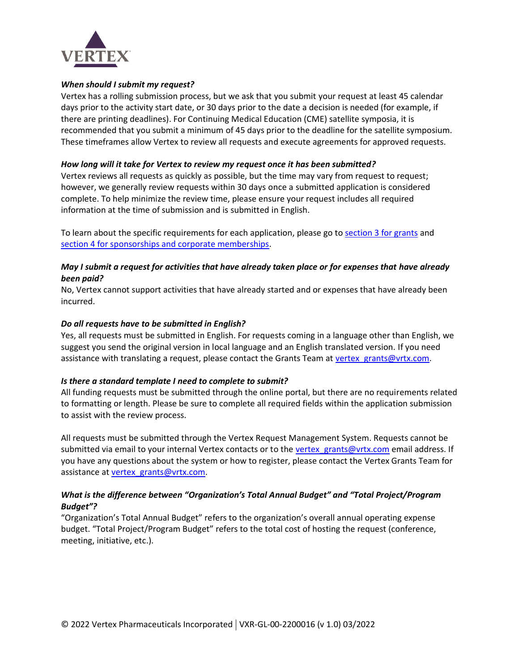

#### *When should I submit my request?*

Vertex has a rolling submission process, but we ask that you submit your request at least 45 calendar days prior to the activity start date, or 30 days prior to the date a decision is needed (for example, if there are printing deadlines). For Continuing Medical Education (CME) satellite symposia, it is recommended that you submit a minimum of 45 days prior to the deadline for the satellite symposium. These timeframes allow Vertex to review all requests and execute agreements for approved requests.

#### *How long will it take for Vertex to review my request once it has been submitted?*

Vertex reviews all requests as quickly as possible, but the time may vary from request to request; however, we generally review requests within 30 days once a submitted application is considered complete. To help minimize the review time, please ensure your request includes all required information at the time of submission and is submitted in English.

To learn about the specific requirements for each application, please go to [section 3 for grants](#page-4-0) and [section 4 for sponsorships and corporate memberships.](#page-6-0)

### *May I submit a request for activities that have already taken place or for expenses that have already been paid?*

No, Vertex cannot support activities that have already started and or expenses that have already been incurred.

#### *Do all requests have to be submitted in English?*

Yes, all requests must be submitted in English. For requests coming in a language other than English, we suggest you send the original version in local language and an English translated version. If you need assistance with translating a request, please contact the Grants Team at vertex grants@vrtx.com.

#### *Is there a standard template I need to complete to submit?*

All funding requests must be submitted through the online portal, but there are no requirements related to formatting or length. Please be sure to complete all required fields within the application submission to assist with the review process.

All requests must be submitted through the Vertex Request Management System. Requests cannot be submitted via email to your internal Vertex contacts or to the vertex grants@vrtx.com email address. If you have any questions about the system or how to register, please contact the Vertex Grants Team for assistance at vertex grants@vrtx.com.

## *What is the difference between "Organization's Total Annual Budget" and "Total Project/Program Budget"?*

"Organization's Total Annual Budget" refers to the organization's overall annual operating expense budget. "Total Project/Program Budget" refers to the total cost of hosting the request (conference, meeting, initiative, etc.).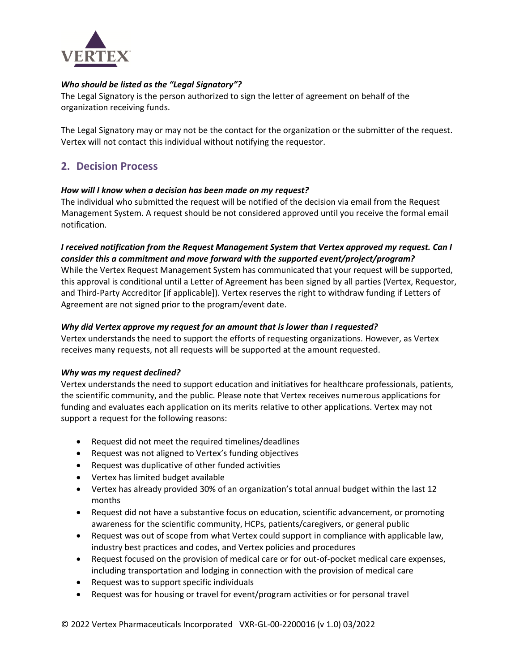

### *Who should be listed as the "Legal Signatory"?*

The Legal Signatory is the person authorized to sign the letter of agreement on behalf of the organization receiving funds.

The Legal Signatory may or may not be the contact for the organization or the submitter of the request. Vertex will not contact this individual without notifying the requestor.

# <span id="page-3-0"></span>**2. Decision Process**

#### *How will I know when a decision has been made on my request?*

The individual who submitted the request will be notified of the decision via email from the Request Management System. A request should be not considered approved until you receive the formal email notification.

## *I received notification from the Request Management System that Vertex approved my request. Can I consider this a commitment and move forward with the supported event/project/program?*

While the Vertex Request Management System has communicated that your request will be supported, this approval is conditional until a Letter of Agreement has been signed by all parties (Vertex, Requestor, and Third-Party Accreditor [if applicable]). Vertex reserves the right to withdraw funding if Letters of Agreement are not signed prior to the program/event date.

#### *Why did Vertex approve my request for an amount that is lower than I requested?*

Vertex understands the need to support the efforts of requesting organizations. However, as Vertex receives many requests, not all requests will be supported at the amount requested.

#### *Why was my request declined?*

Vertex understands the need to support education and initiatives for healthcare professionals, patients, the scientific community, and the public. Please note that Vertex receives numerous applications for funding and evaluates each application on its merits relative to other applications. Vertex may not support a request for the following reasons:

- Request did not meet the required timelines/deadlines
- Request was not aligned to Vertex's funding objectives
- Request was duplicative of other funded activities
- Vertex has limited budget available
- Vertex has already provided 30% of an organization's total annual budget within the last 12 months
- Request did not have a substantive focus on education, scientific advancement, or promoting awareness for the scientific community, HCPs, patients/caregivers, or general public
- Request was out of scope from what Vertex could support in compliance with applicable law, industry best practices and codes, and Vertex policies and procedures
- Request focused on the provision of medical care or for out-of-pocket medical care expenses, including transportation and lodging in connection with the provision of medical care
- Request was to support specific individuals
- Request was for housing or travel for event/program activities or for personal travel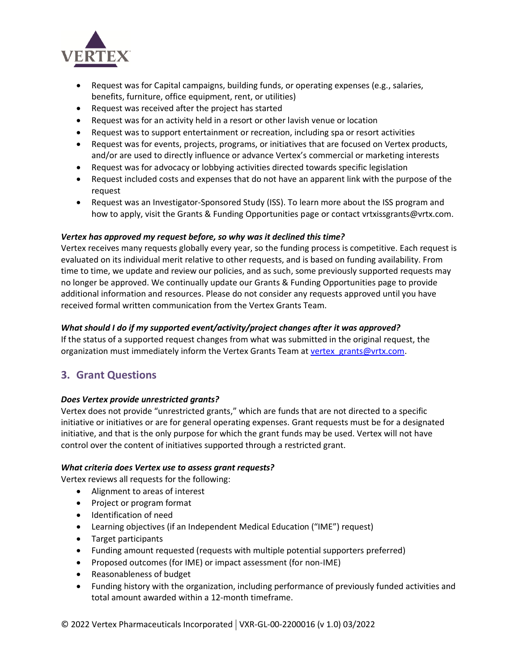

- Request was for Capital campaigns, building funds, or operating expenses (e.g., salaries, benefits, furniture, office equipment, rent, or utilities)
- Request was received after the project has started
- Request was for an activity held in a resort or other lavish venue or location
- Request was to support entertainment or recreation, including spa or resort activities
- Request was for events, projects, programs, or initiatives that are focused on Vertex products, and/or are used to directly influence or advance Vertex's commercial or marketing interests
- Request was for advocacy or lobbying activities directed towards specific legislation
- Request included costs and expenses that do not have an apparent link with the purpose of the request
- Request was an Investigator-Sponsored Study (ISS). To learn more about the ISS program and how to apply, visit the Grants & Funding Opportunities page or contact vrtxissgrants@vrtx.com.

#### *Vertex has approved my request before, so why was it declined this time?*

Vertex receives many requests globally every year, so the funding process is competitive. Each request is evaluated on its individual merit relative to other requests, and is based on funding availability. From time to time, we update and review our policies, and as such, some previously supported requests may no longer be approved. We continually update our Grants & Funding Opportunities page to provide additional information and resources. Please do not consider any requests approved until you have received formal written communication from the Vertex Grants Team.

#### *What should I do if my supported event/activity/project changes after it was approved?*

If the status of a supported request changes from what was submitted in the original request, the organization must immediately inform the Vertex Grants Team at vertex grants@vrtx.com.

# <span id="page-4-0"></span>**3. Grant Questions**

#### *Does Vertex provide unrestricted grants?*

Vertex does not provide "unrestricted grants," which are funds that are not directed to a specific initiative or initiatives or are for general operating expenses. Grant requests must be for a designated initiative, and that is the only purpose for which the grant funds may be used. Vertex will not have control over the content of initiatives supported through a restricted grant.

#### *What criteria does Vertex use to assess grant requests?*

Vertex reviews all requests for the following:

- Alignment to areas of interest
- Project or program format
- Identification of need
- Learning objectives (if an Independent Medical Education ("IME") request)
- Target participants
- Funding amount requested (requests with multiple potential supporters preferred)
- Proposed outcomes (for IME) or impact assessment (for non-IME)
- Reasonableness of budget
- Funding history with the organization, including performance of previously funded activities and total amount awarded within a 12-month timeframe.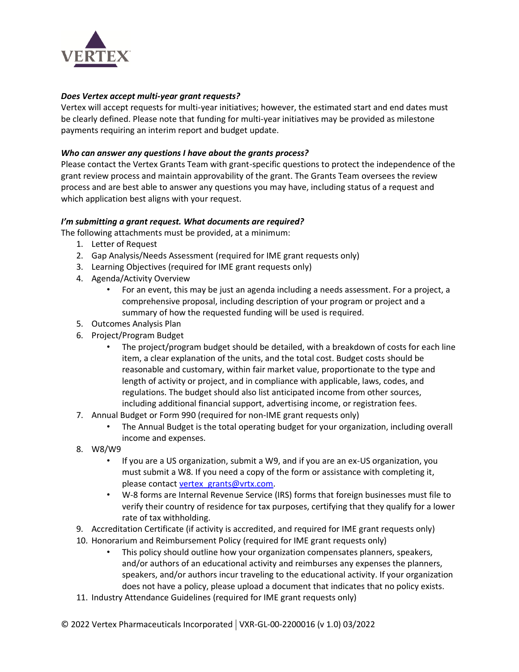

### *Does Vertex accept multi-year grant requests?*

Vertex will accept requests for multi-year initiatives; however, the estimated start and end dates must be clearly defined. Please note that funding for multi-year initiatives may be provided as milestone payments requiring an interim report and budget update.

### *Who can answer any questions I have about the grants process?*

Please contact the Vertex Grants Team with grant-specific questions to protect the independence of the grant review process and maintain approvability of the grant. The Grants Team oversees the review process and are best able to answer any questions you may have, including status of a request and which application best aligns with your request.

## *I'm submitting a grant request. What documents are required?*

The following attachments must be provided, at a minimum:

- 1. Letter of Request
- 2. Gap Analysis/Needs Assessment (required for IME grant requests only)
- 3. Learning Objectives (required for IME grant requests only)
- 4. Agenda/Activity Overview
	- For an event, this may be just an agenda including a needs assessment. For a project, a comprehensive proposal, including description of your program or project and a summary of how the requested funding will be used is required.
- 5. Outcomes Analysis Plan
- 6. Project/Program Budget
	- The project/program budget should be detailed, with a breakdown of costs for each line item, a clear explanation of the units, and the total cost. Budget costs should be reasonable and customary, within fair market value, proportionate to the type and length of activity or project, and in compliance with applicable, laws, codes, and regulations. The budget should also list anticipated income from other sources, including additional financial support, advertising income, or registration fees.
- 7. Annual Budget or Form 990 (required for non-IME grant requests only)
	- The Annual Budget is the total operating budget for your organization, including overall income and expenses.
- 8. W8/W9
	- If you are a US organization, submit a W9, and if you are an ex-US organization, you must submit a W8. If you need a copy of the form or assistance with completing it, please contact vertex grants@vrtx.com.
	- W-8 forms are Internal Revenue Service (IRS) forms that foreign businesses must file to verify their country of residence for tax purposes, certifying that they qualify for a lower rate of tax withholding.
- 9. Accreditation Certificate (if activity is accredited, and required for IME grant requests only)
- 10. Honorarium and Reimbursement Policy (required for IME grant requests only)
	- This policy should outline how your organization compensates planners, speakers, and/or authors of an educational activity and reimburses any expenses the planners, speakers, and/or authors incur traveling to the educational activity. If your organization does not have a policy, please upload a document that indicates that no policy exists.
- 11. Industry Attendance Guidelines (required for IME grant requests only)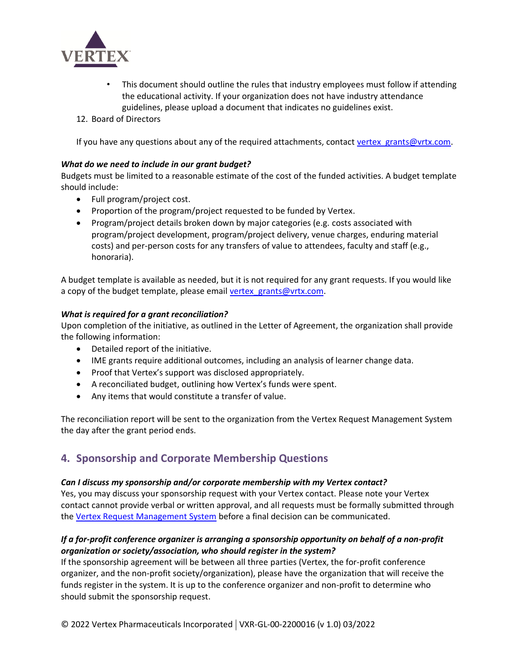

- This document should outline the rules that industry employees must follow if attending the educational activity. If your organization does not have industry attendance guidelines, please upload a document that indicates no guidelines exist.
- 12. Board of Directors

If you have any questions about any of the required attachments, contact vertex grants@vrtx.com.

#### *What do we need to include in our grant budget?*

Budgets must be limited to a reasonable estimate of the cost of the funded activities. A budget template should include:

- Full program/project cost.
- Proportion of the program/project requested to be funded by Vertex.
- Program/project details broken down by major categories (e.g. costs associated with program/project development, program/project delivery, venue charges, enduring material costs) and per-person costs for any transfers of value to attendees, faculty and staff (e.g., honoraria).

A budget template is available as needed, but it is not required for any grant requests. If you would like a copy of the budget template, please email vertex grants@vrtx.com.

#### *What is required for a grant reconciliation?*

Upon completion of the initiative, as outlined in the Letter of Agreement, the organization shall provide the following information:

- Detailed report of the initiative.
- IME grants require additional outcomes, including an analysis of learner change data.
- Proof that Vertex's support was disclosed appropriately.
- A reconciliated budget, outlining how Vertex's funds were spent.
- Any items that would constitute a transfer of value.

The reconciliation report will be sent to the organization from the Vertex Request Management System the day after the grant period ends.

# <span id="page-6-0"></span>**4. Sponsorship and Corporate Membership Questions**

#### *Can I discuss my sponsorship and/or corporate membership with my Vertex contact?*

Yes, you may discuss your sponsorship request with your Vertex contact. Please note your Vertex contact cannot provide verbal or written approval, and all requests must be formally submitted through th[e Vertex Request Management System](https://www.cybergrants.com/vertexpharmaceuticals/quiz) before a final decision can be communicated.

# *If a for-profit conference organizer is arranging a sponsorship opportunity on behalf of a non-profit organization or society/association, who should register in the system?*

If the sponsorship agreement will be between all three parties (Vertex, the for-profit conference organizer, and the non-profit society/organization), please have the organization that will receive the funds register in the system. It is up to the conference organizer and non-profit to determine who should submit the sponsorship request.